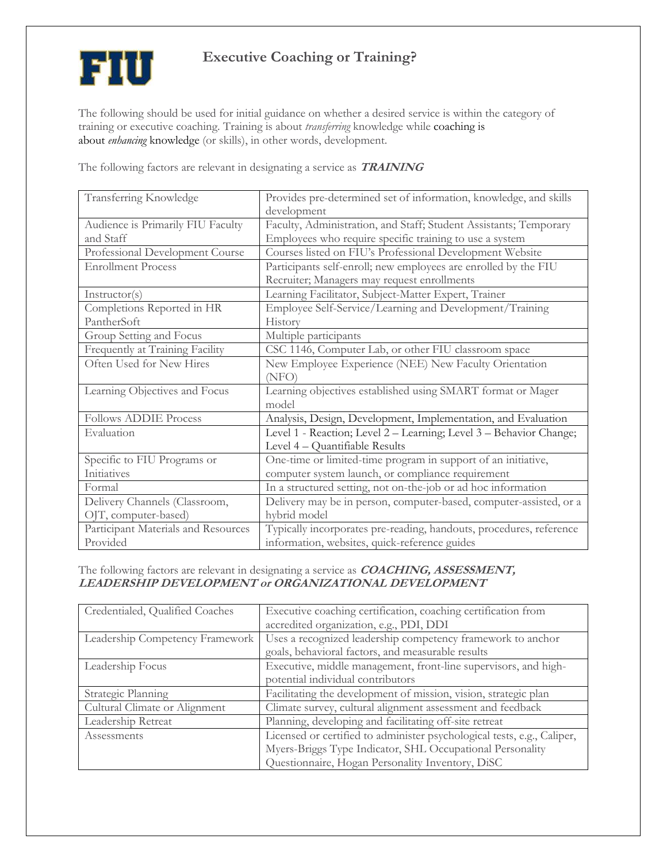

## **Executive Coaching or Training?**

The following should be used for initial guidance on whether a desired service is within the category of training or executive coaching. Training is about *transferring* knowledge while [coaching](https://meetloop.com/) is about *enhancing* [knowledge](https://meetloop.com/) (or skills), in other words, development.

The following factors are relevant in designating a service as **TRAINING**

| Transferring Knowledge              | Provides pre-determined set of information, knowledge, and skills   |
|-------------------------------------|---------------------------------------------------------------------|
|                                     | development                                                         |
| Audience is Primarily FIU Faculty   | Faculty, Administration, and Staff; Student Assistants; Temporary   |
| and Staff                           | Employees who require specific training to use a system             |
| Professional Development Course     | Courses listed on FIU's Professional Development Website            |
| <b>Enrollment Process</b>           | Participants self-enroll; new employees are enrolled by the FIU     |
|                                     | Recruiter; Managers may request enrollments                         |
| Instructor(s)                       | Learning Facilitator, Subject-Matter Expert, Trainer                |
| Completions Reported in HR          | Employee Self-Service/Learning and Development/Training             |
| PantherSoft                         | History                                                             |
| Group Setting and Focus             | Multiple participants                                               |
| Frequently at Training Facility     | CSC 1146, Computer Lab, or other FIU classroom space                |
| Often Used for New Hires            | New Employee Experience (NEE) New Faculty Orientation               |
|                                     | (NEO)                                                               |
| Learning Objectives and Focus       | Learning objectives established using SMART format or Mager         |
|                                     | model                                                               |
| <b>Follows ADDIE Process</b>        | Analysis, Design, Development, Implementation, and Evaluation       |
| Evaluation                          | Level 1 - Reaction; Level 2 – Learning; Level 3 – Behavior Change;  |
|                                     | Level 4 - Quantifiable Results                                      |
| Specific to FIU Programs or         | One-time or limited-time program in support of an initiative,       |
| Initiatives                         | computer system launch, or compliance requirement                   |
| Formal                              | In a structured setting, not on-the-job or ad hoc information       |
| Delivery Channels (Classroom,       | Delivery may be in person, computer-based, computer-assisted, or a  |
| OJT, computer-based)                | hybrid model                                                        |
| Participant Materials and Resources | Typically incorporates pre-reading, handouts, procedures, reference |
| Provided                            | information, websites, quick-reference guides                       |

## The following factors are relevant in designating a service as **COACHING, ASSESSMENT, LEADERSHIP DEVELOPMENT or ORGANIZATIONAL DEVELOPMENT**

| Credentialed, Qualified Coaches | Executive coaching certification, coaching certification from           |
|---------------------------------|-------------------------------------------------------------------------|
|                                 | accredited organization, e.g., PDI, DDI                                 |
| Leadership Competency Framework | Uses a recognized leadership competency framework to anchor             |
|                                 | goals, behavioral factors, and measurable results                       |
| Leadership Focus                | Executive, middle management, front-line supervisors, and high-         |
|                                 | potential individual contributors                                       |
| Strategic Planning              | Facilitating the development of mission, vision, strategic plan         |
| Cultural Climate or Alignment   | Climate survey, cultural alignment assessment and feedback              |
| Leadership Retreat              | Planning, developing and facilitating off-site retreat                  |
| Assessments                     | Licensed or certified to administer psychological tests, e.g., Caliper, |
|                                 | Myers-Briggs Type Indicator, SHL Occupational Personality               |
|                                 | Questionnaire, Hogan Personality Inventory, DiSC                        |